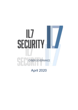# lL7 **SECURITY** CYBER GOVERNANCE

April 2020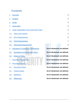# **Contents**

| <u> 1</u>      | <b>Overview</b>                                 | 3                            |
|----------------|-------------------------------------------------|------------------------------|
| $\overline{2}$ | <b>Purpose</b>                                  | 3                            |
| $\overline{3}$ | <b>Scope</b>                                    | 3                            |
| $\overline{4}$ | <b>Applicability</b>                            | 3                            |
| $\overline{5}$ | <b>Cyber Organisation and Governance Policy</b> | $\overline{4}$               |
| 5.1            | <b>Policy and Controls</b>                      | $\overline{4}$               |
| 5.2            | <b>ExCo Requirements</b>                        | 5                            |
| 5.3            | <b>CISO Requirements</b>                        | $\overline{7}$               |
| 5.4            | <b>Directorate Requirements</b>                 | 9                            |
| 6              | <b>Exemptions, Exceptions and Breaches</b>      | Error! Bookmark not defined. |
| 6.1            | <b>Exemptions and Exceptions Policy</b>         | Error! Bookmark not defined. |
| 6.2            | <b>Breach of Policy</b>                         | Error! Bookmark not defined. |
| $\overline{ }$ | Dooumont Mointanon                              | Essari Deekmerk net defined  |

- 
- 
- 
- 
- 

7 Document Maintenance **Error! Bookmark not defined.** 8 Document Control **Error! Bookmark not defined.** 8.1 Document Owner **Error! Bookmark not defined.** 8.2 Version history **Error! Bookmark not defined.** 8.3 Definitions **Error! Bookmark not defined.** 8.4 References **Error! Bookmark not defined.**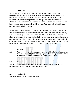#### <span id="page-2-0"></span>**1 Overview**

Organisationsare increasing reliant on IT systems to deliver a wide range of business functions and services and typically have an extensive IT estate. This heavy reliance on IT, coupled with the ever-increasing and evolving threat landscape, places them at significant risk of major compromise from cyberattack. IL7 processes and stores significant quantities of sensitive information, and in the event of a compromise this could have significant reputational, public safety and national security implications.

In light of this, it essential that IL7 defines and implements a robust organisational and governance structure for cyber security, and further, ensure that cyber security is seen as a strategic priority. It is essential that the structure and governance in place for cyber security is integrated and aligned with wider organisational structures and governance. This will ensure that cyber security is appropriately managed and considered across all levels of the department, with a clear escalation path up to and including the Departmental Board (including PRC, ARAC and ExCo).

#### <span id="page-2-1"></span>**1.1 Purpose**

**1.2 This policy sets out the requirements by which IL7 shall design and deliver a a robust Cyber Security organisation and governance chain, in order to drive the mitigations of Cyber Security Risk.**

#### <span id="page-2-2"></span>**1.3 Scope**

The scope of this policy covers the necessary Cyber Security organisation and governance from ExCo down through the Directorates.

#### <span id="page-2-3"></span>**1.4 Applicability**

This policy applies to all IL7 staff at all levels.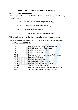#### <span id="page-3-0"></span>**2 Cyber Organisation and Governance Policy**

#### <span id="page-3-1"></span>**2.1 Policy and Controls**

This policy is written to ensure that the outcomes of the following Cyber Security Principles are met;

- SP01 Governance and Risk Management (Ref [1])
- SP05 Security Incident Management (Ref [2])
- SP06 Operational Security (Ref [3])
- SP08 Validation, Confidence and Assurance (Ref [4])

This policy is one of several that are required to support principles above.

This policy implements the following NIST controls, which are detailed in NIST Special Publication 800-53 [5]:

| $PL-1$       | <b>Security Planning Policy and Procedures</b>        |
|--------------|-------------------------------------------------------|
| $PM-2$       | <b>Senior Information Security Officer</b>            |
| $PM-3$       | <b>Information Security Resources</b>                 |
| <b>PM-5</b>  | <b>Information System Inventory</b>                   |
| PM-6         | <b>Information Security Measures of Performance</b>   |
| <b>PM-7</b>  | <b>Enterprise Architecture</b>                        |
| <b>PM-9</b>  | <b>Risk Management Strategy</b>                       |
| <b>PM-10</b> | <b>Security Authorisation Process</b>                 |
| <b>PM-11</b> | <b>Mission/Business Process Definition</b>            |
| <b>PM-14</b> | Training, Testing and Monitoring                      |
| <b>PM-15</b> | <b>Contacts with Security Groups and Associations</b> |
| $SI-5$       | Security Alerts, Advisories and Directives            |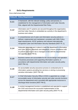# <span id="page-4-0"></span>**3 ExCo Requirements**

Exco shall ensure that:

|       | <b>Policy ID Policy Requirement</b>                                                                                                                                                                                                                                         |
|-------|-----------------------------------------------------------------------------------------------------------------------------------------------------------------------------------------------------------------------------------------------------------------------------|
| 1.1.1 | A framework, with the relevant strategy, policy and process, is<br>established for the management of Information and Cyber Security<br>Risk, aligned with the Departmental Risk Policy.                                                                                     |
| 1.1.2 | Information and IT systems are secured throughout the organisation,<br>and that Cyber Security is embedded as a priority in the department's<br>business and culture.                                                                                                       |
| 1.1.3 | A comprehensive set of cyber and information security policies is<br>defined, implemented and maintained, consistent with HMG Policy,<br>legal requirements, NCSC guidance and relevant internationally<br>recognised Cyber and Information Security Standards [NIST PL-1]. |
| 1.1.4 | Adequate resources are in place to meet the department's information<br>and cyber security objectives and obligations, ensure compliance with<br>its policies and ensure risk is managed in line with the departmental<br>risk appetite. [NIST PM-3].                       |
| 1.1.5 | Business owners are accountable for the secure design and operation<br>of business processes and supporting information systems, in<br>accordance with departmental information and cyber security policy<br>[NIST PM-11].                                                  |
| 1.1.6 | An accountable security assurance process is conducted prior to<br>information systems providing live services or storing or processing<br>sensitive information. [NIST PM-10]                                                                                              |
| 1.1.7 | A Chief Information Security Officer (CISO) is appointed as a single,<br>accountable owner of information security and cyber security functions<br>across the department and is provided with appropriate resources to<br>discharge these functions [NIST PM-2].            |
| 1.1.8 | A central management function is established and operated to support<br>the CISO and ensure the successful implementation of the<br>departmental information and cyber security policy [NIST PL-9].                                                                         |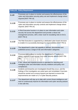|        | <b>Policy ID Policy Requirement</b>                                                                                                                                                                                                                                          |
|--------|------------------------------------------------------------------------------------------------------------------------------------------------------------------------------------------------------------------------------------------------------------------------------|
| 1.1.9  | Processes are in place to monitor and assess the effectiveness of the<br>cyber and information security policy set and implement change where<br>required [NIST PM-14].                                                                                                      |
| 1.1.10 | Processes are in place to monitor and assess the effectiveness of the<br>cyber and information security controls and implement change where<br>required. [NIST PM-14]                                                                                                        |
| 1.1.11 | A Risk Executive function is in place to own information and cyber<br>security risk across the department and provide a robust risk<br>management process, with a clear route for escalating risks to ExCo.<br>[NIST PM-2]                                                   |
| 1.1.12 | The Risk Executive is supported by a dedicated cyber board structure<br>to enable it to successfully discharge its responsibilities [NIST PM-2].                                                                                                                             |
| 1.1.13 | The department's cyber risk appetite is defined, documented and<br>published across a range of risk and information categories.                                                                                                                                              |
| 1.1.14 | Processes are in place to monitor the department's IT systems to<br>detect, respond to and recover from cyber security attacks [NIST PM-<br>$14$ ].                                                                                                                          |
| 1.1.15 | A fair, robust and impartial process is operated for reporting and<br>managing cyber and information security violations and policy non-<br>compliances.                                                                                                                     |
| 1.1.16 | Incidents and breaches are investigated should they occur, and the<br>findings of the investigation are acted upon and remediated. Exercises<br>should be carried out to ensure lessons are learned to ensure that<br>improvements are made to IL7's Cyber Security posture. |
| 1.1.17 | The department will stay up to date with current threat intelligence and<br>work to continuously improve its information and cyber security posture<br>in line with this.                                                                                                    |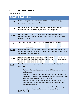### <span id="page-6-0"></span>**4 CISO Requirements**

The CISO shall:

| <b>Policy ID</b> | <b>Policy Requirement</b>                                                                                                                                                                                                                                                                                                                                                                                                                                                                                                                                                                                                                                |
|------------------|----------------------------------------------------------------------------------------------------------------------------------------------------------------------------------------------------------------------------------------------------------------------------------------------------------------------------------------------------------------------------------------------------------------------------------------------------------------------------------------------------------------------------------------------------------------------------------------------------------------------------------------------------------|
| 1.1.18           | Set the enterprise-wide information and cyber security strategy,<br>principles, policy, process, and vision.                                                                                                                                                                                                                                                                                                                                                                                                                                                                                                                                             |
| 1.1.19           | Establish a Cyber Security Strategy and framework that meets IL7's<br>Information and Cyber Security objectives and obligations.                                                                                                                                                                                                                                                                                                                                                                                                                                                                                                                         |
| 1.1.20           | Ensure compliance with security strategy, standards, and policy<br>requirements from the UK National Cyber Security Centre and wider<br>HMG [NIST SI-5].                                                                                                                                                                                                                                                                                                                                                                                                                                                                                                 |
| 1.1.21           | Support the establishment of a IL7 organisational risk appetite.                                                                                                                                                                                                                                                                                                                                                                                                                                                                                                                                                                                         |
| 1.1.22           | Design, implement and operate a portfolio management function to<br>manage and monitor the delivery of new information and cyber security<br>capabilities to the department.                                                                                                                                                                                                                                                                                                                                                                                                                                                                             |
| 1.1.23           | Develops and maintain an inventory of information assets, systems<br>and services that are owned, managed and/or used by the department.                                                                                                                                                                                                                                                                                                                                                                                                                                                                                                                 |
| 1.1.24           | Establish a central governance, risk and assurance function that, at<br>minimum:<br>Performs the security assurance of all IL7 information systems<br>and services;<br>Implement the cyber risk management process and monitor the<br>associated cyber risks and assurance status of all entries on the<br>information systems and services register;<br>Monitor and assess the effectiveness of the security controls<br>that have been implemented to address the information and<br>cyber security risks;<br>Monitor and assess the effectiveness of information and cyber<br>security activities undertaken across the department.<br>[NIST PM-5, 6] |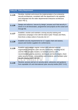| <b>Policy ID</b> | <b>Policy Requirement</b>                                                                                                                                                                                                                                                                                                                                                              |
|------------------|----------------------------------------------------------------------------------------------------------------------------------------------------------------------------------------------------------------------------------------------------------------------------------------------------------------------------------------------------------------------------------------|
| 1.1.25           | Develop, maintain and ensure the implementation of an enterprise<br>security architecture, consistent with the department's risk appetite,<br>and integrated into the wider departmental enterprise architecture.<br>[NIST PM-7].                                                                                                                                                      |
| 1.1.26           | Design and enforce a 'secure by design' process such that security is<br>driven in to all Directorates, programmes and projects at the outset and<br>through life.                                                                                                                                                                                                                     |
| 1.1.27           | Establish, monitor and maintain a strong security training and<br>awareness campaign in line with the latest Cyber Threats and Risks,<br>that drives a deep culture of security into IL7.                                                                                                                                                                                              |
| 1.1.28           | Establish security requirements for IL7 supply chain and assess,<br>assure and monitor suppliers for conformance.                                                                                                                                                                                                                                                                      |
| 1.1.29           | Establish and maintain regular contact with selected external<br>organisations within the cyber security community, including NCSC<br>and the HMG security Clusters, to maintain currency with<br>recommended security practices, techniques and technologies; share<br>cyber security threats, vulnerabilities and incidents; and facilitate cyber<br>security training [NIST PM-15]. |
| 1.1.30           | Receive, process and act on security alerts, advisories and guidance<br>from reputable UK and international cyber security bodies [NIST SI-5].                                                                                                                                                                                                                                         |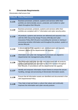# <span id="page-8-0"></span>**5 Directorate Requirements**

Directorates shall ensure that:

| <b>Policy ID</b> | <b>Policy Requirement</b>                                                                                                                                                                                                                                                                                      |
|------------------|----------------------------------------------------------------------------------------------------------------------------------------------------------------------------------------------------------------------------------------------------------------------------------------------------------------|
| 1.1.31           | Business processes, products, systems and services within their<br>portfolio are demonstrably secure, protected, and resilient to cyber-<br>attack throughout their lifecycle.                                                                                                                                 |
| 1.1.32           | Business processes, products, systems and services within their<br>portfolio are compliant with IL7 information and cyber security policy.                                                                                                                                                                     |
| 1.1.33           | All products, systems and services are delivered and assured in line<br>with the GRA Secure By Design Process (Ref [6]) and Cyber<br>Assurance Policy (Ref [7]) prior to providing live services or storing or<br>processing sensitive information and throughout the product, system or<br>service lifecycle. |
| 1.1.34           | A directorate level risk appetite is set, communicated and regularly<br>reviewed, aligned to the departmental risk appetite.                                                                                                                                                                                   |
| 1.1.35           | Information and cyber risk management processes are aligned to<br>departmental risk management policy (Ref [8])                                                                                                                                                                                                |
| 1.1.36           | The information and cyber security risks associated with all products,<br>systems and services are assessed by the CISO function throughout<br>their lifecycle, in accordance with the departmental risk appetite.                                                                                             |
| 1.1.37           | Identify and empower Information Asset Owners to ensure the secure<br>handling, storage and processing of directorate information assets.                                                                                                                                                                      |
| 1.1.38           | Ensure that all information assets are identified and documented in line<br>with Departmental Policy.                                                                                                                                                                                                          |
| 1.1.39           | They help to lead and foster a culture that values and continually<br>improves the information and cyber security posture.                                                                                                                                                                                     |